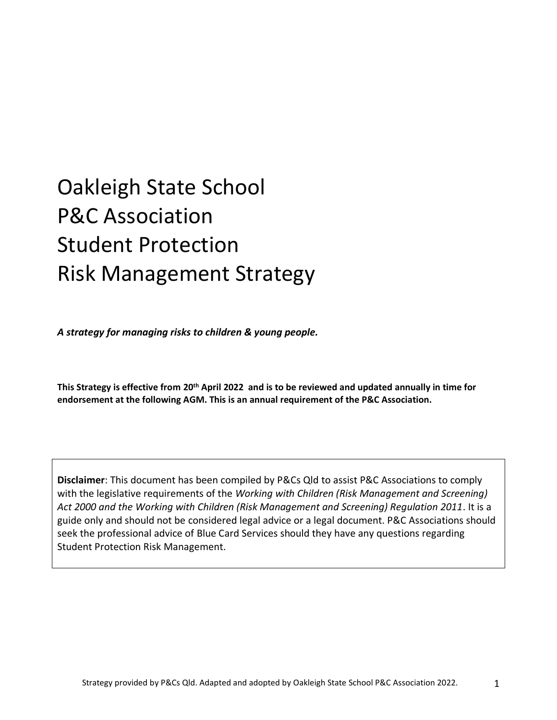# Oakleigh State School P&C Association Student Protection Risk Management Strategy

*A strategy for managing risks to children & young people.*

**This Strategy is effective from 20th April 2022 and is to be reviewed and updated annually in time for endorsement at the following AGM. This is an annual requirement of the P&C Association.** 

**Disclaimer**: This document has been compiled by P&Cs Qld to assist P&C Associations to comply with the legislative requirements of the *Working with Children (Risk Management and Screening) Act 2000 and the Working with Children (Risk Management and Screening) Regulation 2011*. It is a guide only and should not be considered legal advice or a legal document. P&C Associations should seek the professional advice of Blue Card Services should they have any questions regarding Student Protection Risk Management.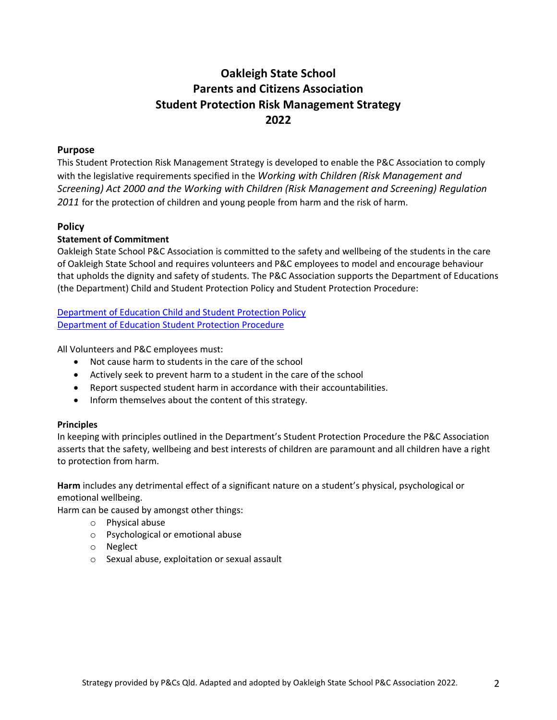### **Oakleigh State School Parents and Citizens Association Student Protection Risk Management Strategy 2022**

#### **Purpose**

This Student Protection Risk Management Strategy is developed to enable the P&C Association to comply with the legislative requirements specified in the *Working with Children (Risk Management and Screening) Act 2000 and the Working with Children (Risk Management and Screening) Regulation 2011* for the protection of children and young people from harm and the risk of harm.

#### **Policy**

#### **Statement of Commitment**

Oakleigh State School P&C Association is committed to the safety and wellbeing of the students in the care of Oakleigh State School and requires volunteers and P&C employees to model and encourage behaviour that upholds the dignity and safety of students. The P&C Association supports the Department of Educations (the Department) Child and Student Protection Policy and Student Protection Procedure:

[Department of Education Child and Student Protection Policy](https://ppr.qed.qld.gov.au/pp/child-and-student-protection-policy) Department of Education [Student Protection Procedure](https://education.qld.gov.au/parents-and-carers/school-information/life-at-school/student-protection)

All Volunteers and P&C employees must:

- Not cause harm to students in the care of the school
- Actively seek to prevent harm to a student in the care of the school
- Report suspected student harm in accordance with their accountabilities.
- Inform themselves about the content of this strategy.

#### **Principles**

In keeping with principles outlined in the Department's Student Protection Procedure the P&C Association asserts that the safety, wellbeing and best interests of children are paramount and all children have a right to protection from harm.

**Harm** includes any detrimental effect of a significant nature on a student's physical, psychological or emotional wellbeing.

Harm can be caused by amongst other things:

- o Physical abuse
- o Psychological or emotional abuse
- o Neglect
- o Sexual abuse, exploitation or sexual assault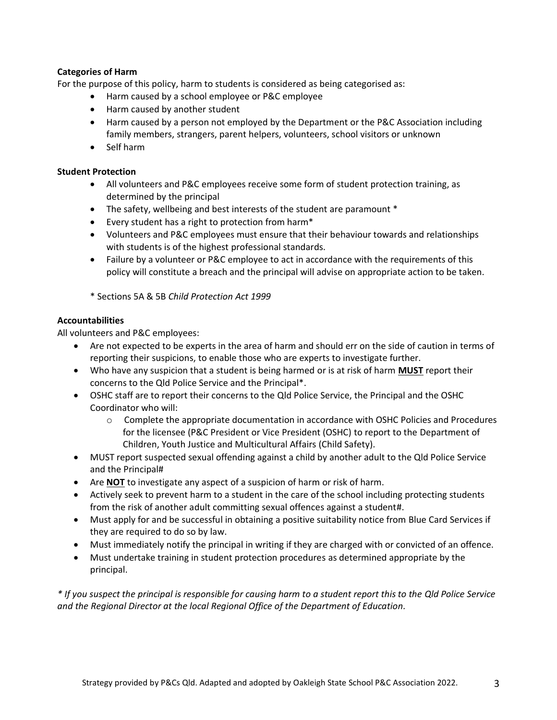#### **Categories of Harm**

For the purpose of this policy, harm to students is considered as being categorised as:

- Harm caused by a school employee or P&C employee
- Harm caused by another student
- Harm caused by a person not employed by the Department or the P&C Association including family members, strangers, parent helpers, volunteers, school visitors or unknown
- Self harm

#### **Student Protection**

- All volunteers and P&C employees receive some form of student protection training, as determined by the principal
- The safety, wellbeing and best interests of the student are paramount \*
- Every student has a right to protection from harm\*
- Volunteers and P&C employees must ensure that their behaviour towards and relationships with students is of the highest professional standards.
- Failure by a volunteer or P&C employee to act in accordance with the requirements of this policy will constitute a breach and the principal will advise on appropriate action to be taken.

\* Sections 5A & 5B *Child Protection Act 1999*

#### **Accountabilities**

All volunteers and P&C employees:

- Are not expected to be experts in the area of harm and should err on the side of caution in terms of reporting their suspicions, to enable those who are experts to investigate further.
- Who have any suspicion that a student is being harmed or is at risk of harm **MUST** report their concerns to the Qld Police Service and the Principal\*.
- OSHC staff are to report their concerns to the Qld Police Service, the Principal and the OSHC Coordinator who will:
	- $\circ$  Complete the appropriate documentation in accordance with OSHC Policies and Procedures for the licensee (P&C President or Vice President (OSHC) to report to the Department of Children, Youth Justice and Multicultural Affairs (Child Safety).
- MUST report suspected sexual offending against a child by another adult to the Qld Police Service and the Principal#
- Are **NOT** to investigate any aspect of a suspicion of harm or risk of harm.
- Actively seek to prevent harm to a student in the care of the school including protecting students from the risk of another adult committing sexual offences against a student#.
- Must apply for and be successful in obtaining a positive suitability notice from Blue Card Services if they are required to do so by law.
- Must immediately notify the principal in writing if they are charged with or convicted of an offence.
- Must undertake training in student protection procedures as determined appropriate by the principal.

*\* If you suspect the principal is responsible for causing harm to a student report this to the Qld Police Service and the Regional Director at the local Regional Office of the Department of Education.*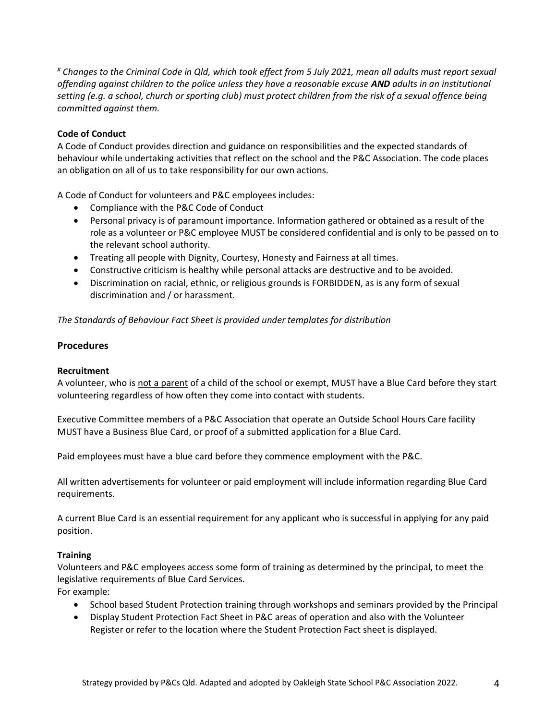*# Changes to the Criminal Code in Qld, which took effect from 5 July 2021, mean all adults must report sexual offending against children to the police unless they have a reasonable excuse AND adults in an institutional setting (e.g. a school, church or sporting club) must protect children from the risk of a sexual offence being committed against them.*

#### **Code of Conduct**

A Code of Conduct provides direction and guidance on responsibilities and the expected standards of behaviour while undertaking activities that reflect on the school and the P&C Association. The code places an obligation on all of us to take responsibility for our own actions.

A Code of Conduct for volunteers and P&C employees includes:

- Compliance with the P&C Code of Conduct
- Personal privacy is of paramount importance. Information gathered or obtained as a result of the role as a volunteer or P&C employee MUST be considered confidential and is only to be passed on to the relevant school authority.
- Treating all people with Dignity, Courtesy, Honesty and Fairness at all times.
- Constructive criticism is healthy while personal attacks are destructive and to be avoided.
- Discrimination on racial, ethnic, or religious grounds is FORBIDDEN, as is any form of sexual discrimination and / or harassment.

*The Standards of Behaviour Fact Sheet is provided under templates for distribution* 

#### **Procedures**

#### **Recruitment**

A volunteer, who is not a parent of a child of the school or exempt, MUST have a Blue Card before they start volunteering regardless of how often they come into contact with students.

Executive Committee members of a P&C Association that operate an Outside School Hours Care facility MUST have a Business Blue Card, or proof of a submitted application for a Blue Card.

Paid employees must have a blue card before they commence employment with the P&C.

All written advertisements for volunteer or paid employment will include information regarding Blue Card requirements.

A current Blue Card is an essential requirement for any applicant who is successful in applying for any paid position.

#### **Training**

Volunteers and P&C employees access some form of training as determined by the principal, to meet the legislative requirements of Blue Card Services.

For example:

- School based Student Protection training through workshops and seminars provided by the Principal
- Display Student Protection Fact Sheet in P&C areas of operation and also with the Volunteer Register or refer to the location where the Student Protection Fact sheet is displayed.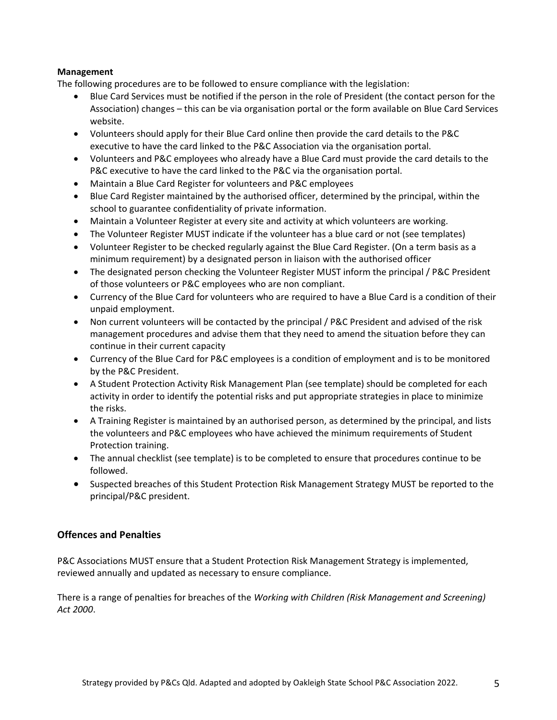#### **Management**

The following procedures are to be followed to ensure compliance with the legislation:

- Blue Card Services must be notified if the person in the role of President (the contact person for the Association) changes – this can be via organisation portal or the form available on Blue Card Services website.
- Volunteers should apply for their Blue Card online then provide the card details to the P&C executive to have the card linked to the P&C Association via the organisation portal.
- Volunteers and P&C employees who already have a Blue Card must provide the card details to the P&C executive to have the card linked to the P&C via the organisation portal.
- Maintain a Blue Card Register for volunteers and P&C employees
- Blue Card Register maintained by the authorised officer, determined by the principal, within the school to guarantee confidentiality of private information.
- Maintain a Volunteer Register at every site and activity at which volunteers are working.
- The Volunteer Register MUST indicate if the volunteer has a blue card or not (see templates)
- Volunteer Register to be checked regularly against the Blue Card Register. (On a term basis as a minimum requirement) by a designated person in liaison with the authorised officer
- The designated person checking the Volunteer Register MUST inform the principal / P&C President of those volunteers or P&C employees who are non compliant.
- Currency of the Blue Card for volunteers who are required to have a Blue Card is a condition of their unpaid employment.
- Non current volunteers will be contacted by the principal / P&C President and advised of the risk management procedures and advise them that they need to amend the situation before they can continue in their current capacity
- Currency of the Blue Card for P&C employees is a condition of employment and is to be monitored by the P&C President.
- A Student Protection Activity Risk Management Plan (see template) should be completed for each activity in order to identify the potential risks and put appropriate strategies in place to minimize the risks.
- A Training Register is maintained by an authorised person, as determined by the principal, and lists the volunteers and P&C employees who have achieved the minimum requirements of Student Protection training.
- The annual checklist (see template) is to be completed to ensure that procedures continue to be followed.
- Suspected breaches of this Student Protection Risk Management Strategy MUST be reported to the principal/P&C president.

#### **Offences and Penalties**

P&C Associations MUST ensure that a Student Protection Risk Management Strategy is implemented, reviewed annually and updated as necessary to ensure compliance.

There is a range of penalties for breaches of the *Working with Children (Risk Management and Screening) Act 2000*.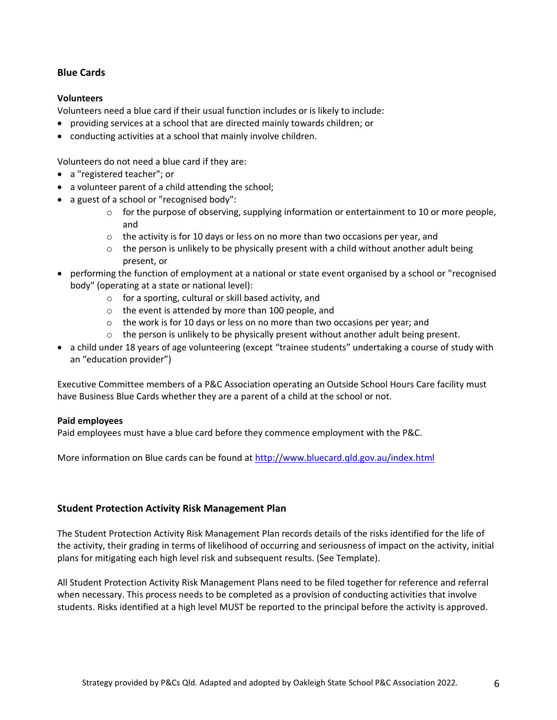#### **Blue Cards**

#### **Volunteers**

Volunteers need a blue card if their usual function includes or is likely to include:

- providing services at a school that are directed mainly towards children; or
- conducting activities at a school that mainly involve children.

Volunteers do not need a blue card if they are:

- a ["registered teacher";](http://www.ccypcg.qld.gov.au/employment/bluecard/definitions.html#teacher) or
- a volunteer parent of a child attending the school;
- a guest of a school o[r "recognised body":](http://www.ccypcg.qld.gov.au/employment/bluecard/definitions.html#recognisedBody)
	- o for the purpose of observing, supplying information or entertainment to 10 or more people, and
	- $\circ$  the activity is for 10 days or less on no more than two occasions per year, and
	- $\circ$  the person is unlikely to be physically present with a child without another adult being present, or
- performing the function of employment at a national or state event organised by a school or ["recognised](http://www.ccypcg.qld.gov.au/employment/bluecard/definitions.html#recognisedBody)  [body"](http://www.ccypcg.qld.gov.au/employment/bluecard/definitions.html#recognisedBody) (operating at a state or national level):
	- o for a sporting, cultural or skill based activity, and
		- o the event is attended by more than 100 people, and
		- o the work is for 10 days or less on no more than two occasions per year; and
		- $\circ$  the person is unlikely to be physically present without another adult being present.
- a child under 18 years of age volunteering (except ["trainee students"](http://www.ccypcg.qld.gov.au/employment/bluecard/definitions.html#student) undertaking a course of study with an ["education provider"](http://www.ccypcg.qld.gov.au/employment/bluecard/definitions.html#edProvider))

Executive Committee members of a P&C Association operating an Outside School Hours Care facility must have Business Blue Cards whether they are a parent of a child at the school or not.

#### **Paid employees**

Paid employees must have a blue card before they commence employment with the P&C.

More information on Blue cards can be found at <http://www.bluecard.qld.gov.au/index.html>

#### **Student Protection Activity Risk Management Plan**

The Student Protection Activity Risk Management Plan records details of the risks identified for the life of the activity, their grading in terms of likelihood of occurring and seriousness of impact on the activity, initial plans for mitigating each high level risk and subsequent results. (See Template).

All Student Protection Activity Risk Management Plans need to be filed together for reference and referral when necessary. This process needs to be completed as a provision of conducting activities that involve students. Risks identified at a high level MUST be reported to the principal before the activity is approved.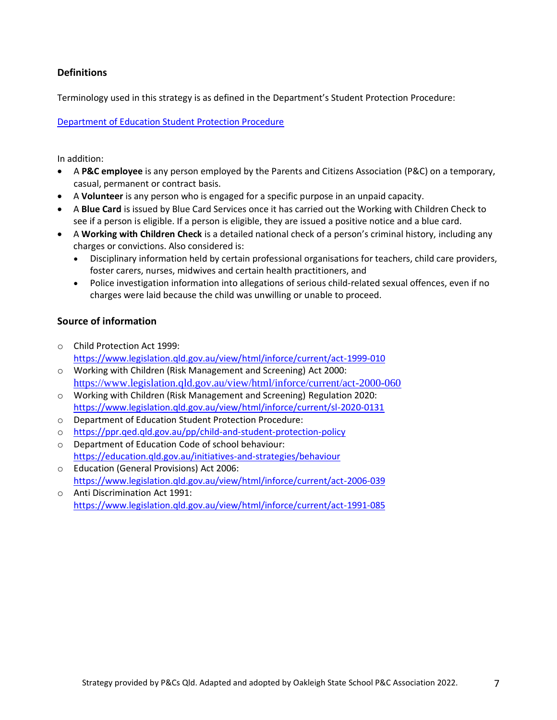#### **Definitions**

Terminology used in this strategy is as defined in the Department's Student Protection Procedure:

[Department of Education Student Protection Procedure](https://education.qld.gov.au/parents-and-carers/school-information/life-at-school/student-protection)

In addition:

- A **P&C employee** is any person employed by the Parents and Citizens Association (P&C) on a temporary, casual, permanent or contract basis.
- A **Volunteer** is any person who is engaged for a specific purpose in an unpaid capacity.
- A **Blue Card** is issued by Blue Card Services once it has carried out the Working with Children Check to see if a person is eligible. If a person is eligible, they are issued a positive notice and a blue card.
- A **Working with Children Check** is a detailed national check of a person's criminal history, including any charges or convictions. Also considered is:
	- Disciplinary information held by certain professional organisations for teachers, child care providers, foster carers, nurses, midwives and certain health practitioners, and
	- Police investigation information into allegations of serious child-related sexual offences, even if no charges were laid because the child was unwilling or unable to proceed.

#### **Source of information**

- o Child Protection Act 1999: <https://www.legislation.qld.gov.au/view/html/inforce/current/act-1999-010>
- o Working with Children (Risk Management and Screening) Act 2000: <https://www.legislation.qld.gov.au/view/html/inforce/current/act-2000-060>
- o Working with Children (Risk Management and Screening) Regulation 2020: <https://www.legislation.qld.gov.au/view/html/inforce/current/sl-2020-0131>
- o Department of Education Student Protection Procedure:
- o <https://ppr.qed.qld.gov.au/pp/child-and-student-protection-policy>
- o Department of Education Code of school behaviour: <https://education.qld.gov.au/initiatives-and-strategies/behaviour>
- o Education (General Provisions) Act 2006: <https://www.legislation.qld.gov.au/view/html/inforce/current/act-2006-039>
- o Anti Discrimination Act 1991: <https://www.legislation.qld.gov.au/view/html/inforce/current/act-1991-085>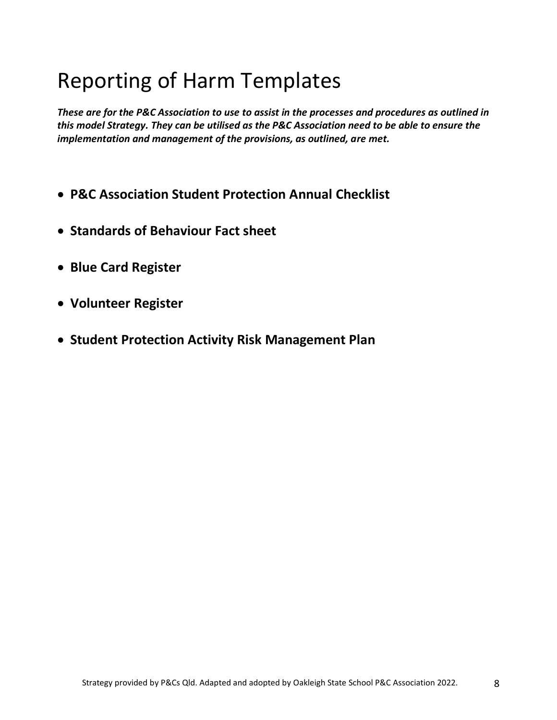# Reporting of Harm Templates

*These are for the P&C Association to use to assist in the processes and procedures as outlined in this model Strategy. They can be utilised as the P&C Association need to be able to ensure the implementation and management of the provisions, as outlined, are met.*

- **P&C Association Student Protection Annual Checklist**
- **Standards of Behaviour Fact sheet**
- **Blue Card Register**
- **Volunteer Register**
- **Student Protection Activity Risk Management Plan**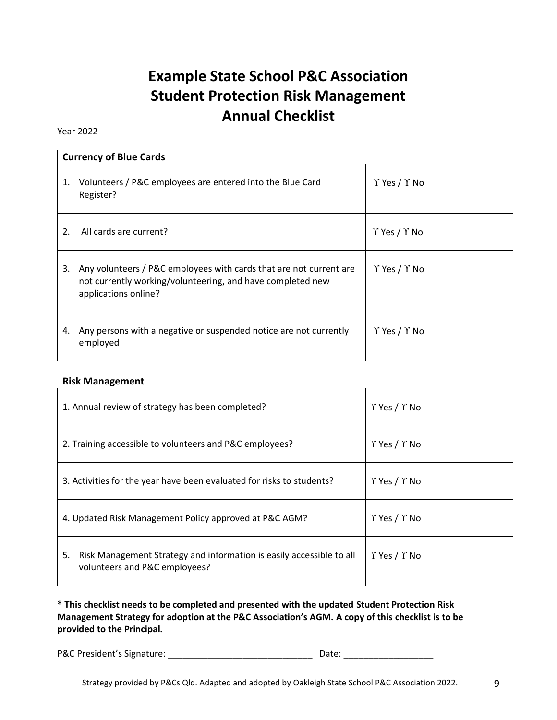# **Example State School P&C Association Student Protection Risk Management Annual Checklist**

#### Year 2022

|    | <b>Currency of Blue Cards</b>                                                                                                                            |                                |  |  |  |  |  |  |
|----|----------------------------------------------------------------------------------------------------------------------------------------------------------|--------------------------------|--|--|--|--|--|--|
| 1. | Volunteers / P&C employees are entered into the Blue Card<br>Register?                                                                                   | $\Upsilon$ Yes / $\Upsilon$ No |  |  |  |  |  |  |
| 2. | All cards are current?                                                                                                                                   | $\Upsilon$ Yes / $\Upsilon$ No |  |  |  |  |  |  |
| 3. | Any volunteers / P&C employees with cards that are not current are<br>not currently working/volunteering, and have completed new<br>applications online? | $\Upsilon$ Yes / $\Upsilon$ No |  |  |  |  |  |  |
| 4. | Any persons with a negative or suspended notice are not currently<br>employed                                                                            | $\Upsilon$ Yes / $\Upsilon$ No |  |  |  |  |  |  |

#### **Risk Management**

| 1. Annual review of strategy has been completed?                                                            | $\Upsilon$ Yes / $\Upsilon$ No |
|-------------------------------------------------------------------------------------------------------------|--------------------------------|
| 2. Training accessible to volunteers and P&C employees?                                                     | $\Upsilon$ Yes / $\Upsilon$ No |
| 3. Activities for the year have been evaluated for risks to students?                                       | $\Upsilon$ Yes / $\Upsilon$ No |
| 4. Updated Risk Management Policy approved at P&C AGM?                                                      | $\Upsilon$ Yes / $\Upsilon$ No |
| Risk Management Strategy and information is easily accessible to all<br>5.<br>volunteers and P&C employees? | $\Upsilon$ Yes / $\Upsilon$ No |

**\* This checklist needs to be completed and presented with the updated Student Protection Risk Management Strategy for adoption at the P&C Association's AGM. A copy of this checklist is to be provided to the Principal.**

P&C President's Signature: \_\_\_\_\_\_\_\_\_\_\_\_\_\_\_\_\_\_\_\_\_\_\_\_\_\_\_\_\_ Date: \_\_\_\_\_\_\_\_\_\_\_\_\_\_\_\_\_\_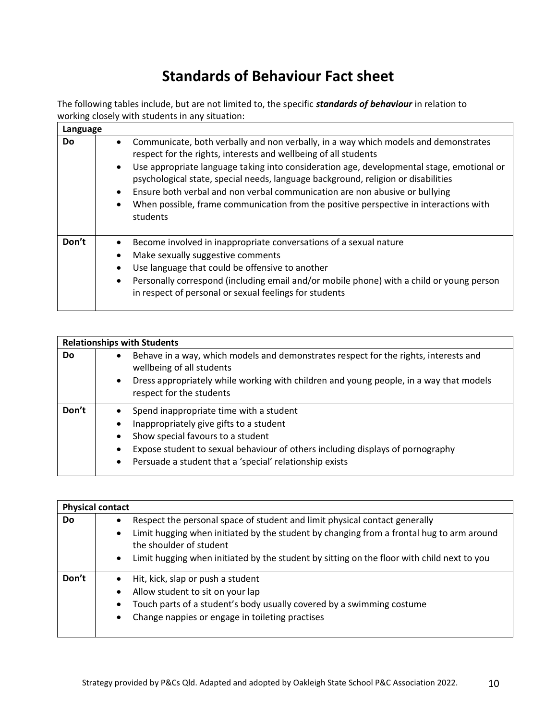## **Standards of Behaviour Fact sheet**

The following tables include, but are not limited to, the specific *standards of behaviour* in relation to working closely with students in any situation:

| Language  |                        |                                                                                                                                                                                                                                                                                                                                                                                                                                                                                                                              |
|-----------|------------------------|------------------------------------------------------------------------------------------------------------------------------------------------------------------------------------------------------------------------------------------------------------------------------------------------------------------------------------------------------------------------------------------------------------------------------------------------------------------------------------------------------------------------------|
| <b>Do</b> | $\bullet$<br>$\bullet$ | Communicate, both verbally and non verbally, in a way which models and demonstrates<br>respect for the rights, interests and wellbeing of all students<br>Use appropriate language taking into consideration age, developmental stage, emotional or<br>psychological state, special needs, language background, religion or disabilities<br>Ensure both verbal and non verbal communication are non abusive or bullying<br>When possible, frame communication from the positive perspective in interactions with<br>students |
| Don't     | $\bullet$<br>$\bullet$ | Become involved in inappropriate conversations of a sexual nature<br>Make sexually suggestive comments<br>Use language that could be offensive to another<br>Personally correspond (including email and/or mobile phone) with a child or young person<br>in respect of personal or sexual feelings for students                                                                                                                                                                                                              |

| <b>Relationships with Students</b>                                                                                             |                                                                                                                                                                                                                                                                      |  |  |  |  |  |  |  |  |
|--------------------------------------------------------------------------------------------------------------------------------|----------------------------------------------------------------------------------------------------------------------------------------------------------------------------------------------------------------------------------------------------------------------|--|--|--|--|--|--|--|--|
| <b>Do</b><br>Behave in a way, which models and demonstrates respect for the rights, interests and<br>wellbeing of all students |                                                                                                                                                                                                                                                                      |  |  |  |  |  |  |  |  |
| $\bullet$                                                                                                                      | Dress appropriately while working with children and young people, in a way that models<br>respect for the students                                                                                                                                                   |  |  |  |  |  |  |  |  |
| Don't<br>٠<br>$\bullet$<br>٠<br>٠                                                                                              | Spend inappropriate time with a student<br>Inappropriately give gifts to a student<br>Show special favours to a student<br>Expose student to sexual behaviour of others including displays of pornography<br>Persuade a student that a 'special' relationship exists |  |  |  |  |  |  |  |  |

|       | <b>Physical contact</b>                                                    |                                                                                                                     |  |  |  |  |  |  |  |
|-------|----------------------------------------------------------------------------|---------------------------------------------------------------------------------------------------------------------|--|--|--|--|--|--|--|
| Do    | Respect the personal space of student and limit physical contact generally |                                                                                                                     |  |  |  |  |  |  |  |
|       | $\bullet$                                                                  | Limit hugging when initiated by the student by changing from a frontal hug to arm around<br>the shoulder of student |  |  |  |  |  |  |  |
|       | $\bullet$                                                                  | Limit hugging when initiated by the student by sitting on the floor with child next to you                          |  |  |  |  |  |  |  |
| Don't | $\bullet$                                                                  | Hit, kick, slap or push a student                                                                                   |  |  |  |  |  |  |  |
|       |                                                                            | Allow student to sit on your lap                                                                                    |  |  |  |  |  |  |  |
|       | $\bullet$                                                                  | Touch parts of a student's body usually covered by a swimming costume                                               |  |  |  |  |  |  |  |
|       | ٠                                                                          | Change nappies or engage in toileting practises                                                                     |  |  |  |  |  |  |  |
|       |                                                                            |                                                                                                                     |  |  |  |  |  |  |  |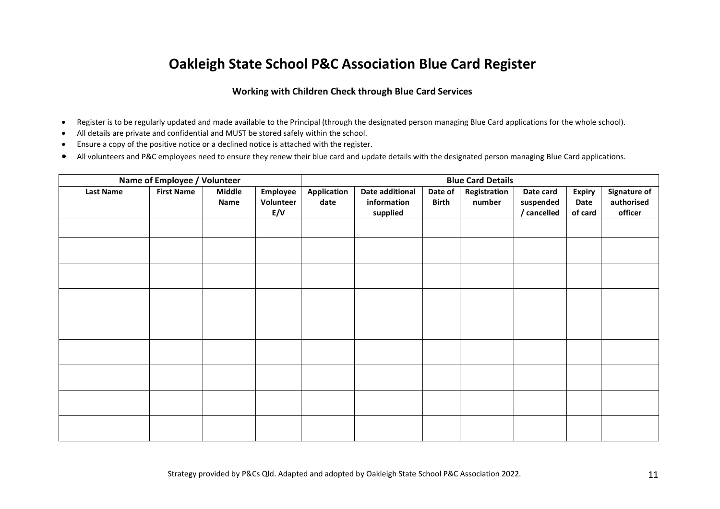### **Oakleigh State School P&C Association Blue Card Register**

#### **Working with Children Check through Blue Card Services**

- Register is to be regularly updated and made available to the Principal (through the designated person managing Blue Card applications for the whole school).
- All details are private and confidential and MUST be stored safely within the school.
- Ensure a copy of the positive notice or a declined notice is attached with the register.
- All volunteers and P&C employees need to ensure they renew their blue card and update details with the designated person managing Blue Card applications.

| Name of Employee / Volunteer | <b>Blue Card Details</b> |                       |                              |                     |                                            |                         |                        |                                       |                                  |                                              |
|------------------------------|--------------------------|-----------------------|------------------------------|---------------------|--------------------------------------------|-------------------------|------------------------|---------------------------------------|----------------------------------|----------------------------------------------|
| <b>Last Name</b>             | <b>First Name</b>        | <b>Middle</b><br>Name | Employee<br>Volunteer<br>E/V | Application<br>date | Date additional<br>information<br>supplied | Date of<br><b>Birth</b> | Registration<br>number | Date card<br>suspended<br>/ cancelled | <b>Expiry</b><br>Date<br>of card | <b>Signature of</b><br>authorised<br>officer |
|                              |                          |                       |                              |                     |                                            |                         |                        |                                       |                                  |                                              |
|                              |                          |                       |                              |                     |                                            |                         |                        |                                       |                                  |                                              |
|                              |                          |                       |                              |                     |                                            |                         |                        |                                       |                                  |                                              |
|                              |                          |                       |                              |                     |                                            |                         |                        |                                       |                                  |                                              |
|                              |                          |                       |                              |                     |                                            |                         |                        |                                       |                                  |                                              |
|                              |                          |                       |                              |                     |                                            |                         |                        |                                       |                                  |                                              |
|                              |                          |                       |                              |                     |                                            |                         |                        |                                       |                                  |                                              |
|                              |                          |                       |                              |                     |                                            |                         |                        |                                       |                                  |                                              |
|                              |                          |                       |                              |                     |                                            |                         |                        |                                       |                                  |                                              |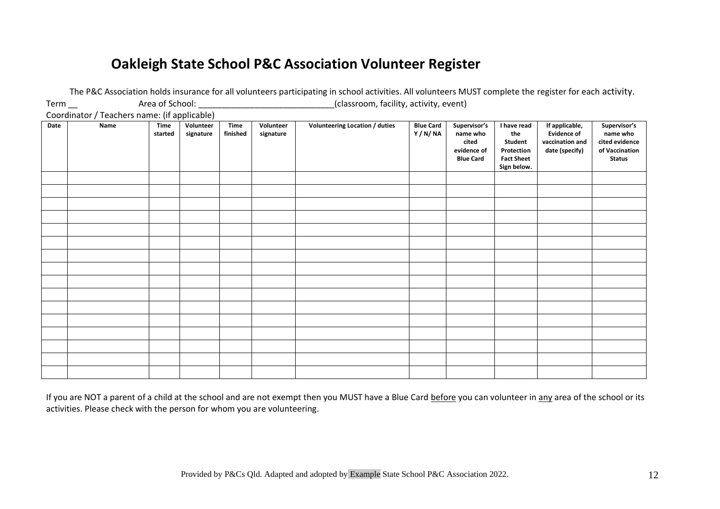### **Oakleigh State School P&C Association Volunteer Register**

|                                              |      |                        |                        |                         |                        | The rise Association noias insurance for an volunteers participating in school activities. An voluncers wrosh complete the register for each activity. |                            |                                                                      |                                                                                 |                                                                           |                                                                               |
|----------------------------------------------|------|------------------------|------------------------|-------------------------|------------------------|--------------------------------------------------------------------------------------------------------------------------------------------------------|----------------------------|----------------------------------------------------------------------|---------------------------------------------------------------------------------|---------------------------------------------------------------------------|-------------------------------------------------------------------------------|
| $Term$ <sub>--</sub>                         |      | Area of School: _      |                        |                         |                        | (classroom, facility, activity, event)                                                                                                                 |                            |                                                                      |                                                                                 |                                                                           |                                                                               |
| Coordinator / Teachers name: (if applicable) |      |                        |                        |                         |                        |                                                                                                                                                        |                            |                                                                      |                                                                                 |                                                                           |                                                                               |
| Date                                         | Name | <b>Time</b><br>started | Volunteer<br>signature | <b>Time</b><br>finished | Volunteer<br>signature | Volunteering Location / duties                                                                                                                         | <b>Blue Card</b><br>Y/N/NA | Supervisor's<br>name who<br>cited<br>evidence of<br><b>Blue Card</b> | I have read<br>the<br>Student<br>Protection<br><b>Fact Sheet</b><br>Sign below. | If applicable,<br><b>Evidence of</b><br>vaccination and<br>date (specify) | Supervisor's<br>name who<br>cited evidence<br>of Vaccination<br><b>Status</b> |
|                                              |      |                        |                        |                         |                        |                                                                                                                                                        |                            |                                                                      |                                                                                 |                                                                           |                                                                               |
|                                              |      |                        |                        |                         |                        |                                                                                                                                                        |                            |                                                                      |                                                                                 |                                                                           |                                                                               |
|                                              |      |                        |                        |                         |                        |                                                                                                                                                        |                            |                                                                      |                                                                                 |                                                                           |                                                                               |
|                                              |      |                        |                        |                         |                        |                                                                                                                                                        |                            |                                                                      |                                                                                 |                                                                           |                                                                               |
|                                              |      |                        |                        |                         |                        |                                                                                                                                                        |                            |                                                                      |                                                                                 |                                                                           |                                                                               |
|                                              |      |                        |                        |                         |                        |                                                                                                                                                        |                            |                                                                      |                                                                                 |                                                                           |                                                                               |
|                                              |      |                        |                        |                         |                        |                                                                                                                                                        |                            |                                                                      |                                                                                 |                                                                           |                                                                               |
|                                              |      |                        |                        |                         |                        |                                                                                                                                                        |                            |                                                                      |                                                                                 |                                                                           |                                                                               |
|                                              |      |                        |                        |                         |                        |                                                                                                                                                        |                            |                                                                      |                                                                                 |                                                                           |                                                                               |
|                                              |      |                        |                        |                         |                        |                                                                                                                                                        |                            |                                                                      |                                                                                 |                                                                           |                                                                               |
|                                              |      |                        |                        |                         |                        |                                                                                                                                                        |                            |                                                                      |                                                                                 |                                                                           |                                                                               |
|                                              |      |                        |                        |                         |                        |                                                                                                                                                        |                            |                                                                      |                                                                                 |                                                                           |                                                                               |
|                                              |      |                        |                        |                         |                        |                                                                                                                                                        |                            |                                                                      |                                                                                 |                                                                           |                                                                               |
|                                              |      |                        |                        |                         |                        |                                                                                                                                                        |                            |                                                                      |                                                                                 |                                                                           |                                                                               |
|                                              |      |                        |                        |                         |                        |                                                                                                                                                        |                            |                                                                      |                                                                                 |                                                                           |                                                                               |
|                                              |      |                        |                        |                         |                        |                                                                                                                                                        |                            |                                                                      |                                                                                 |                                                                           |                                                                               |

The P&C Association holds insurance for all volunteers participating in school activities. All volunteers MUST complete the register for each activity.

If you are NOT a parent of a child at the school and are not exempt then you MUST have a Blue Card before you can volunteer in any area of the school or its activities. Please check with the person for whom you are volunteering.